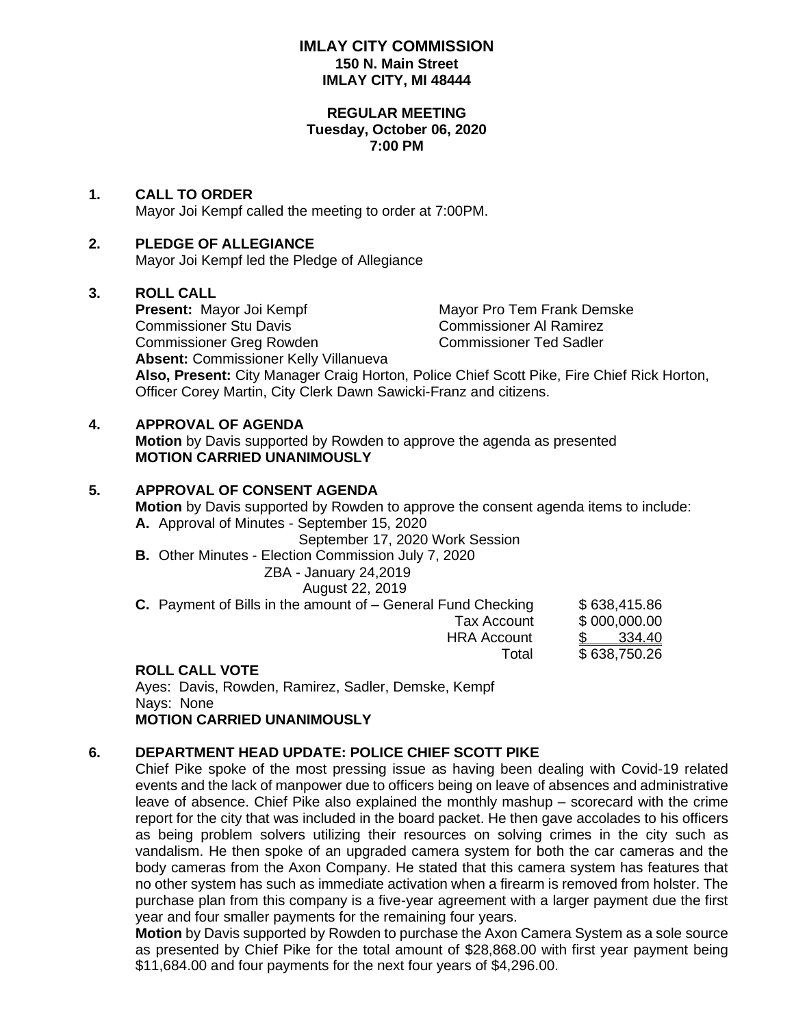#### **IMLAY CITY COMMISSION 150 N. Main Street IMLAY CITY, MI 48444**

#### **REGULAR MEETING Tuesday, October 06, 2020 7:00 PM**

## **1. CALL TO ORDER**

Mayor Joi Kempf called the meeting to order at 7:00PM.

## **2. PLEDGE OF ALLEGIANCE**

Mayor Joi Kempf led the Pledge of Allegiance

#### **3. ROLL CALL**

**Present:** Mayor Joi Kempf Mayor Pro Tem Frank Demske Commissioner Stu Davis Commissioner Al Ramirez Commissioner Greg Rowden Commissioner Ted Sadler **Absent:** Commissioner Kelly Villanueva **Also, Present:** City Manager Craig Horton, Police Chief Scott Pike, Fire Chief Rick Horton, Officer Corey Martin, City Clerk Dawn Sawicki-Franz and citizens.

## **4. APPROVAL OF AGENDA**

**Motion** by Davis supported by Rowden to approve the agenda as presented **MOTION CARRIED UNANIMOUSLY**

#### **5. APPROVAL OF CONSENT AGENDA**

**Motion** by Davis supported by Rowden to approve the consent agenda items to include: **A.** Approval of Minutes - September 15, 2020

September 17, 2020 Work Session

**B.** Other Minutes - Election Commission July 7, 2020

# ZBA - January 24,2019

August 22, 2019

| <b>C.</b> Payment of Bills in the amount of $-$ General Fund Checking | \$638,415.86  |
|-----------------------------------------------------------------------|---------------|
| Tax Account                                                           | \$000,000.00  |
| <b>HRA Account</b>                                                    | <u>334.40</u> |
| Total                                                                 | \$638,750.26  |
|                                                                       |               |

## **ROLL CALL VOTE**

Ayes: Davis, Rowden, Ramirez, Sadler, Demske, Kempf Nays: None **MOTION CARRIED UNANIMOUSLY**

## **6. DEPARTMENT HEAD UPDATE: POLICE CHIEF SCOTT PIKE**

Chief Pike spoke of the most pressing issue as having been dealing with Covid-19 related events and the lack of manpower due to officers being on leave of absences and administrative leave of absence. Chief Pike also explained the monthly mashup – scorecard with the crime report for the city that was included in the board packet. He then gave accolades to his officers as being problem solvers utilizing their resources on solving crimes in the city such as vandalism. He then spoke of an upgraded camera system for both the car cameras and the body cameras from the Axon Company. He stated that this camera system has features that no other system has such as immediate activation when a firearm is removed from holster. The purchase plan from this company is a five-year agreement with a larger payment due the first year and four smaller payments for the remaining four years.

**Motion** by Davis supported by Rowden to purchase the Axon Camera System as a sole source as presented by Chief Pike for the total amount of \$28,868.00 with first year payment being \$11,684.00 and four payments for the next four years of \$4,296.00.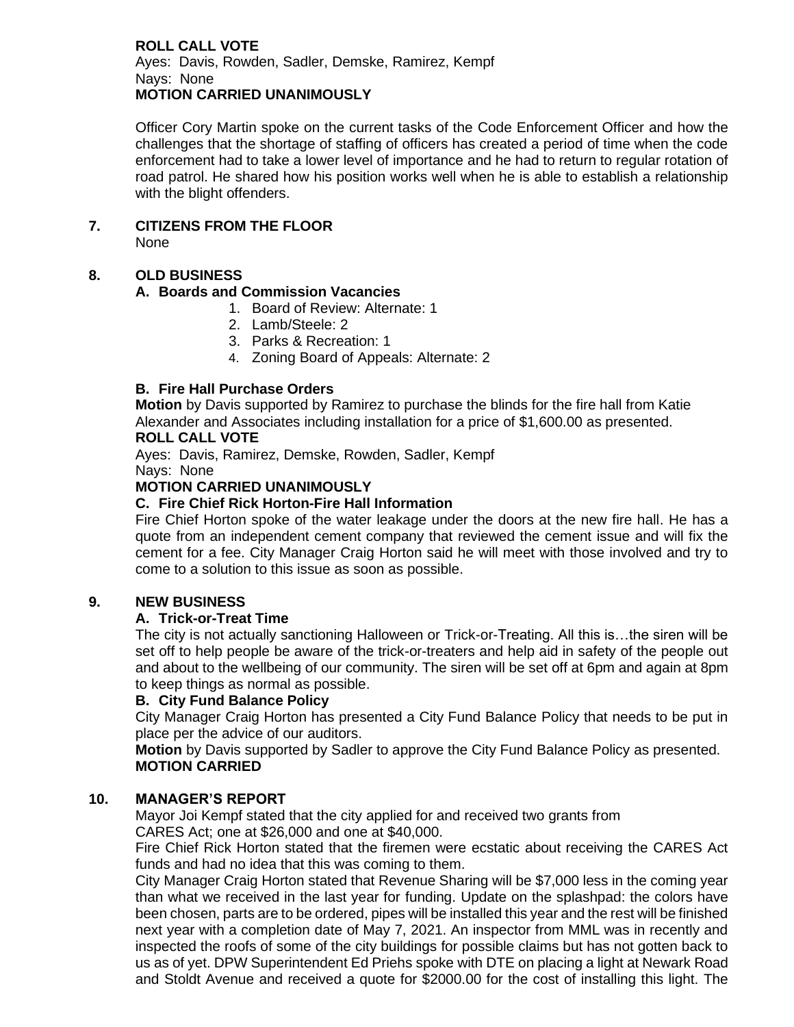#### **ROLL CALL VOTE** Ayes: Davis, Rowden, Sadler, Demske, Ramirez, Kempf Nays: None **MOTION CARRIED UNANIMOUSLY**

Officer Cory Martin spoke on the current tasks of the Code Enforcement Officer and how the challenges that the shortage of staffing of officers has created a period of time when the code enforcement had to take a lower level of importance and he had to return to regular rotation of road patrol. He shared how his position works well when he is able to establish a relationship with the blight offenders.

**7. CITIZENS FROM THE FLOOR**

None

# **8. OLD BUSINESS**

## **A. Boards and Commission Vacancies**

- 1. Board of Review: Alternate: 1
- 2. Lamb/Steele: 2
- 3. Parks & Recreation: 1
- 4. Zoning Board of Appeals: Alternate: 2

# **B. Fire Hall Purchase Orders**

**Motion** by Davis supported by Ramirez to purchase the blinds for the fire hall from Katie Alexander and Associates including installation for a price of \$1,600.00 as presented. **ROLL CALL VOTE**

Ayes: Davis, Ramirez, Demske, Rowden, Sadler, Kempf Nays: None

# **MOTION CARRIED UNANIMOUSLY**

# **C. Fire Chief Rick Horton-Fire Hall Information**

Fire Chief Horton spoke of the water leakage under the doors at the new fire hall. He has a quote from an independent cement company that reviewed the cement issue and will fix the cement for a fee. City Manager Craig Horton said he will meet with those involved and try to come to a solution to this issue as soon as possible.

## **9. NEW BUSINESS**

## **A. Trick-or-Treat Time**

The city is not actually sanctioning Halloween or Trick-or-Treating. All this is…the siren will be set off to help people be aware of the trick-or-treaters and help aid in safety of the people out and about to the wellbeing of our community. The siren will be set off at 6pm and again at 8pm to keep things as normal as possible.

## **B. City Fund Balance Policy**

City Manager Craig Horton has presented a City Fund Balance Policy that needs to be put in place per the advice of our auditors.

**Motion** by Davis supported by Sadler to approve the City Fund Balance Policy as presented. **MOTION CARRIED**

# **10. MANAGER'S REPORT**

Mayor Joi Kempf stated that the city applied for and received two grants from CARES Act; one at \$26,000 and one at \$40,000.

Fire Chief Rick Horton stated that the firemen were ecstatic about receiving the CARES Act funds and had no idea that this was coming to them.

City Manager Craig Horton stated that Revenue Sharing will be \$7,000 less in the coming year than what we received in the last year for funding. Update on the splashpad: the colors have been chosen, parts are to be ordered, pipes will be installed this year and the rest will be finished next year with a completion date of May 7, 2021. An inspector from MML was in recently and inspected the roofs of some of the city buildings for possible claims but has not gotten back to us as of yet. DPW Superintendent Ed Priehs spoke with DTE on placing a light at Newark Road and Stoldt Avenue and received a quote for \$2000.00 for the cost of installing this light. The